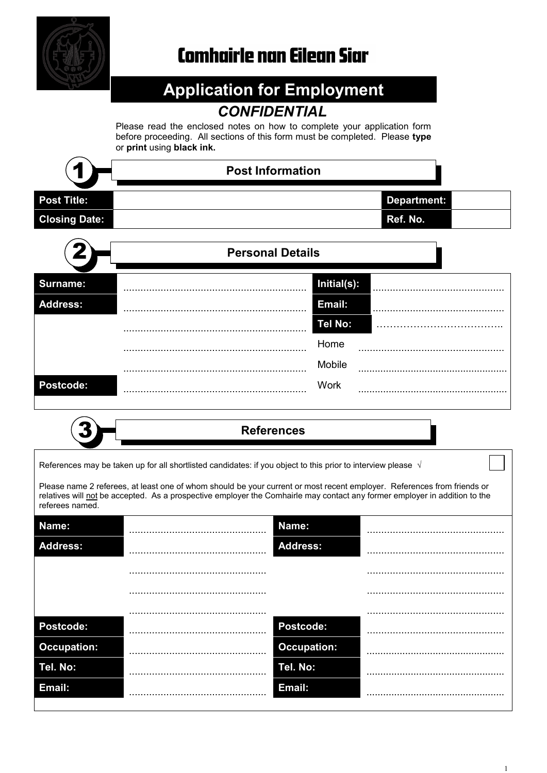

# **Comhairle nan Eilean Siar**

## **Application for Employment** *CONFIDENTIAL*

Please read the enclosed notes on how to complete your application form before proceeding. All sections of this form must be completed. Please **type** or **print** using **black ink.**

|                      | <b>Post Information</b> |
|----------------------|-------------------------|
| <b>Post Title:</b>   | <b>Department:</b>      |
| <b>Closing Date:</b> | Ref. No.                |
| Ł.                   | <b>Personal Details</b> |
| <b>Surname:</b>      | Initial(s):             |
| <b>Address:</b>      | Email:                  |
|                      | Tel No:                 |
|                      | Home                    |
|                      | Mobile                  |
| Postcode:            | <b>Work</b>             |

References may be taken up for all shortlisted candidates: if you object to this prior to interview please  $\sqrt{ }$ 

Please name 2 referees, at least one of whom should be your current or most recent employer. References from friends or relatives will not be accepted. As a prospective employer the Comhairle may contact any former employer in addition to the referees named.

| Name:              | Name:              |  |
|--------------------|--------------------|--|
| <b>Address:</b>    | <b>Address:</b>    |  |
|                    |                    |  |
|                    |                    |  |
|                    |                    |  |
| Postcode:          | Postcode:          |  |
| <b>Occupation:</b> | <b>Occupation:</b> |  |
| Tel. No:           | Tel. No:           |  |
| Email:             | Email:             |  |
|                    |                    |  |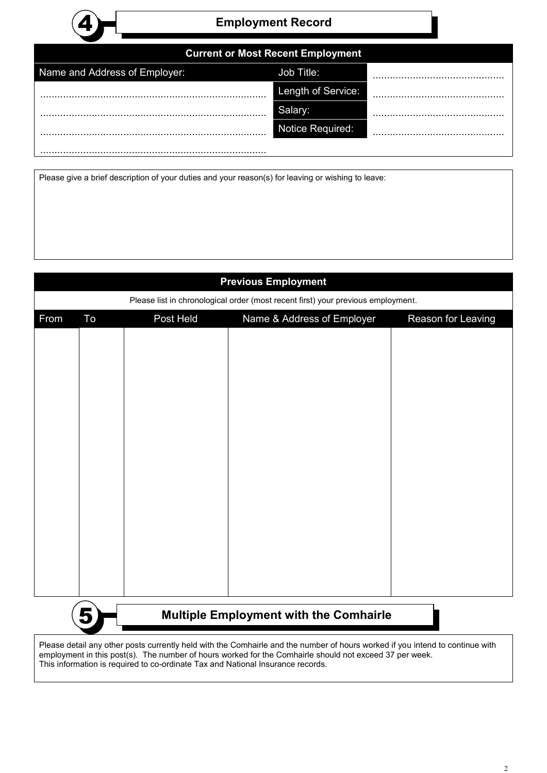

### 4 **Employment Record**

| Name and Address of Employer: | Job Title:         |  |
|-------------------------------|--------------------|--|
| .                             | Length of Service: |  |
| .                             |                    |  |
|                               | Notice Required:   |  |
|                               |                    |  |

Please give a brief description of your duties and your reason(s) for leaving or wishing to leave:

This information is required to co-ordinate Tax and National Insurance records.

| <b>Previous Employment</b>                                                                                                                                                                                                               |                                                    |           |                            |                    |  |
|------------------------------------------------------------------------------------------------------------------------------------------------------------------------------------------------------------------------------------------|----------------------------------------------------|-----------|----------------------------|--------------------|--|
| Please list in chronological order (most recent first) your previous employment.                                                                                                                                                         |                                                    |           |                            |                    |  |
| From                                                                                                                                                                                                                                     | To                                                 | Post Held | Name & Address of Employer | Reason for Leaving |  |
|                                                                                                                                                                                                                                          |                                                    |           |                            |                    |  |
|                                                                                                                                                                                                                                          |                                                    |           |                            |                    |  |
|                                                                                                                                                                                                                                          |                                                    |           |                            |                    |  |
|                                                                                                                                                                                                                                          |                                                    |           |                            |                    |  |
|                                                                                                                                                                                                                                          |                                                    |           |                            |                    |  |
|                                                                                                                                                                                                                                          |                                                    |           |                            |                    |  |
|                                                                                                                                                                                                                                          |                                                    |           |                            |                    |  |
|                                                                                                                                                                                                                                          |                                                    |           |                            |                    |  |
|                                                                                                                                                                                                                                          |                                                    |           |                            |                    |  |
|                                                                                                                                                                                                                                          |                                                    |           |                            |                    |  |
|                                                                                                                                                                                                                                          |                                                    |           |                            |                    |  |
|                                                                                                                                                                                                                                          |                                                    |           |                            |                    |  |
|                                                                                                                                                                                                                                          |                                                    |           |                            |                    |  |
|                                                                                                                                                                                                                                          |                                                    |           |                            |                    |  |
|                                                                                                                                                                                                                                          | <b>Multiple Employment with the Comhairle</b><br>5 |           |                            |                    |  |
| Please detail any other posts currently held with the Comhairle and the number of hours worked if you intend to continue with<br>employment in this post(s). The number of hours worked for the Comhairle should not exceed 37 per week. |                                                    |           |                            |                    |  |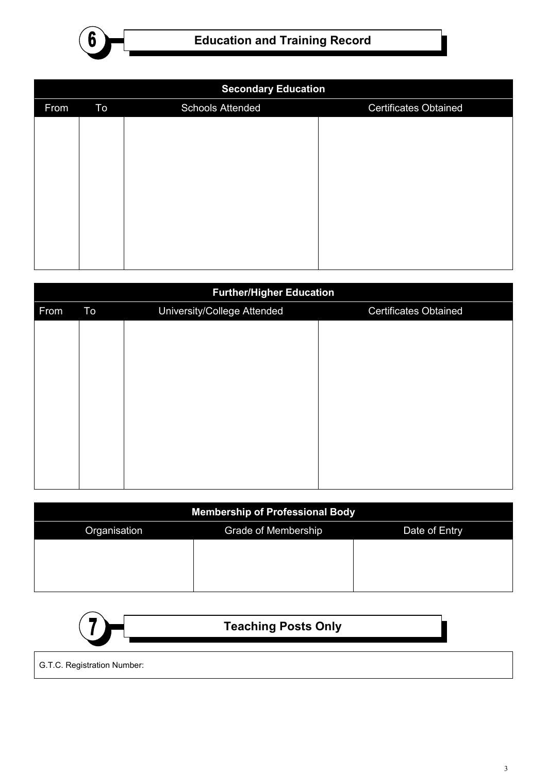

| <b>Secondary Education</b> |    |                         |                              |  |
|----------------------------|----|-------------------------|------------------------------|--|
| From                       | To | <b>Schools Attended</b> | <b>Certificates Obtained</b> |  |
|                            |    |                         |                              |  |
|                            |    |                         |                              |  |
|                            |    |                         |                              |  |
|                            |    |                         |                              |  |
|                            |    |                         |                              |  |
|                            |    |                         |                              |  |
|                            |    |                         |                              |  |
|                            |    |                         |                              |  |
|                            |    |                         |                              |  |

| <b>Further/Higher Education</b> |    |                             |                              |  |
|---------------------------------|----|-----------------------------|------------------------------|--|
| From                            | To | University/College Attended | <b>Certificates Obtained</b> |  |
|                                 |    |                             |                              |  |
|                                 |    |                             |                              |  |
|                                 |    |                             |                              |  |
|                                 |    |                             |                              |  |
|                                 |    |                             |                              |  |
|                                 |    |                             |                              |  |
|                                 |    |                             |                              |  |
|                                 |    |                             |                              |  |
|                                 |    |                             |                              |  |
|                                 |    |                             |                              |  |

| Membership of Professional Body                             |  |  |  |  |  |
|-------------------------------------------------------------|--|--|--|--|--|
| Organisation<br><b>Grade of Membership</b><br>Date of Entry |  |  |  |  |  |
|                                                             |  |  |  |  |  |
|                                                             |  |  |  |  |  |
|                                                             |  |  |  |  |  |

|                             | <b>Teaching Posts Only</b> |  |
|-----------------------------|----------------------------|--|
| G.T.C. Registration Number: |                            |  |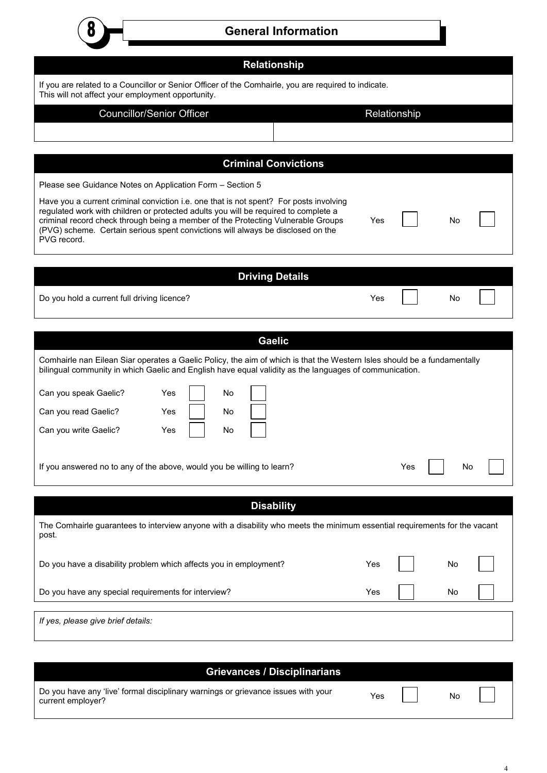| п |  |
|---|--|
|   |  |
|   |  |

#### **General Information**

| <b>Relationship</b>                                                                                                                                                                                                                                                                                                                                                 |              |     |           |  |
|---------------------------------------------------------------------------------------------------------------------------------------------------------------------------------------------------------------------------------------------------------------------------------------------------------------------------------------------------------------------|--------------|-----|-----------|--|
| If you are related to a Councillor or Senior Officer of the Comhairle, you are required to indicate.<br>This will not affect your employment opportunity.                                                                                                                                                                                                           |              |     |           |  |
| <b>Councillor/Senior Officer</b>                                                                                                                                                                                                                                                                                                                                    | Relationship |     |           |  |
|                                                                                                                                                                                                                                                                                                                                                                     |              |     |           |  |
| <b>Criminal Convictions</b>                                                                                                                                                                                                                                                                                                                                         |              |     |           |  |
| Please see Guidance Notes on Application Form - Section 5                                                                                                                                                                                                                                                                                                           |              |     |           |  |
| Have you a current criminal conviction i.e. one that is not spent? For posts involving<br>regulated work with children or protected adults you will be required to complete a<br>criminal record check through being a member of the Protecting Vulnerable Groups<br>(PVG) scheme. Certain serious spent convictions will always be disclosed on the<br>PVG record. | Yes          |     | <b>No</b> |  |
|                                                                                                                                                                                                                                                                                                                                                                     |              |     |           |  |
| <b>Driving Details</b><br>Do you hold a current full driving licence?                                                                                                                                                                                                                                                                                               | Yes          |     | No        |  |
|                                                                                                                                                                                                                                                                                                                                                                     |              |     |           |  |
| <b>Gaelic</b>                                                                                                                                                                                                                                                                                                                                                       |              |     |           |  |
| Comhairle nan Eilean Siar operates a Gaelic Policy, the aim of which is that the Western Isles should be a fundamentally<br>bilingual community in which Gaelic and English have equal validity as the languages of communication.                                                                                                                                  |              |     |           |  |
| Can you speak Gaelic?<br>Yes<br>No<br>Can you read Gaelic?<br>Yes<br>No.<br>Can you write Gaelic?<br>Yes<br>No                                                                                                                                                                                                                                                      |              |     |           |  |
| If you answered no to any of the above, would you be willing to learn?                                                                                                                                                                                                                                                                                              |              | Yes | No        |  |
| <b>Disability</b>                                                                                                                                                                                                                                                                                                                                                   |              |     |           |  |
| The Comhairle guarantees to interview anyone with a disability who meets the minimum essential requirements for the vacant<br>post.                                                                                                                                                                                                                                 |              |     |           |  |
| Do you have a disability problem which affects you in employment?                                                                                                                                                                                                                                                                                                   | Yes          |     | No        |  |
| Do you have any special requirements for interview?                                                                                                                                                                                                                                                                                                                 | Yes          |     | No        |  |
| If yes, please give brief details:                                                                                                                                                                                                                                                                                                                                  |              |     |           |  |
|                                                                                                                                                                                                                                                                                                                                                                     |              |     |           |  |
| <b>Grievances / Disciplinarians</b>                                                                                                                                                                                                                                                                                                                                 |              |     |           |  |

| Do you have any 'live' formal disciplinary warnings or grievance issues with your<br>current employer? | Yes |
|--------------------------------------------------------------------------------------------------------|-----|
|--------------------------------------------------------------------------------------------------------|-----|

No